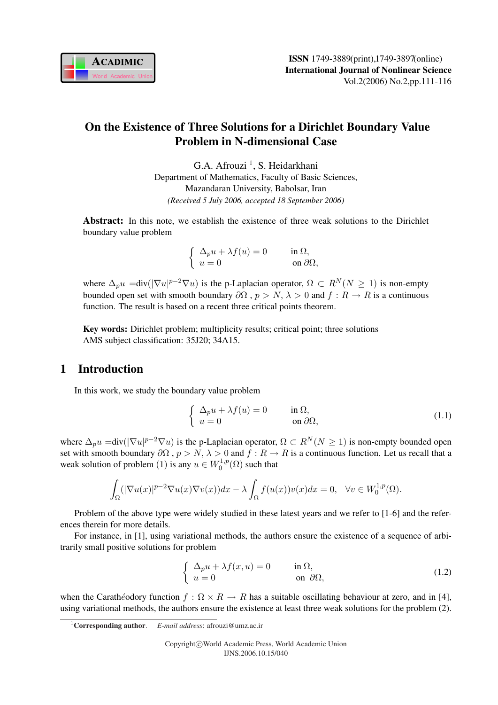

## On the Existence of Three Solutions for a Dirichlet Boundary Value Problem in N-dimensional Case

G.A. Afrouzi<sup>1</sup>, S. Heidarkhani Department of Mathematics, Faculty of Basic Sciences, Mazandaran University, Babolsar, Iran *(Received 5 July 2006, accepted 18 September 2006)*

Abstract: In this note, we establish the existence of three weak solutions to the Dirichlet boundary value problem

$$
\begin{cases} \Delta_p u + \lambda f(u) = 0 & \text{in } \Omega, \\ u = 0 & \text{on } \partial\Omega, \end{cases}
$$

where  $\Delta_p u = \text{div}(|\nabla u|^{p-2} \nabla u)$  is the p-Laplacian operator,  $\Omega \subset R^N(N \ge 1)$  is non-empty bounded open set with smooth boundary  $\partial\Omega$ ,  $p > N$ ,  $\lambda > 0$  and  $f : R \to R$  is a continuous function. The result is based on a recent three critical points theorem.

Key words: Dirichlet problem; multiplicity results; critical point; three solutions AMS subject classification: 35J20; 34A15.

## 1 Introduction

In this work, we study the boundary value problem

$$
\begin{cases}\n\Delta_p u + \lambda f(u) = 0 & \text{in } \Omega, \\
u = 0 & \text{on } \partial\Omega,\n\end{cases}
$$
\n(1.1)

where  $\Delta_p u = \text{div}(|\nabla u|^{p-2}\nabla u)$  is the p-Laplacian operator,  $\Omega \subset R^N(N \ge 1)$  is non-empty bounded open set with smooth boundary  $\partial\Omega$ ,  $p > N$ ,  $\lambda > 0$  and  $f : R \to R$  is a continuous function. Let us recall that a weak solution of problem (1) is any  $u \in W_0^{1,p}$  $L_0^{1,p}(\Omega)$  such that

$$
\int_{\Omega} (|\nabla u(x)|^{p-2} \nabla u(x) \nabla v(x)) dx - \lambda \int_{\Omega} f(u(x)) v(x) dx = 0, \quad \forall v \in W_0^{1,p}(\Omega).
$$

Problem of the above type were widely studied in these latest years and we refer to [1-6] and the references therein for more details.

For instance, in [1], using variational methods, the authors ensure the existence of a sequence of arbitrarily small positive solutions for problem

$$
\begin{cases}\n\Delta_p u + \lambda f(x, u) = 0 & \text{in } \Omega, \\
u = 0 & \text{on } \partial\Omega,\n\end{cases}
$$
\n(1.2)

when the Carathéodory function  $f : \Omega \times R \to R$  has a suitable oscillating behaviour at zero, and in [4], using variational methods, the authors ensure the existence at least three weak solutions for the problem (2).

<sup>1</sup>Corresponding author. *E-mail address*: afrouzi@umz.ac.ir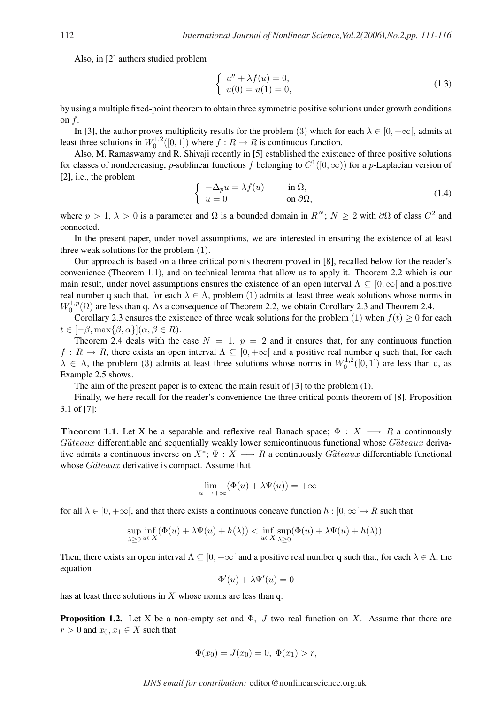Also, in [2] authors studied problem

$$
\begin{cases}\n u'' + \lambda f(u) = 0, \\
 u(0) = u(1) = 0,\n\end{cases}
$$
\n(1.3)

by using a multiple fixed-point theorem to obtain three symmetric positive solutions under growth conditions on  $f$ .

In [3], the author proves multiplicity results for the problem (3) which for each  $\lambda \in [0, +\infty]$ , admits at least three solutions in  $W_0^{1,2}$  $\int_0^{1,2}([0,1])$  where  $f: R \to R$  is continuous function.

Also, M. Ramaswamy and R. Shivaji recently in [5] established the existence of three positive solutions for classes of nondecreasing, p-sublinear functions f belonging to  $C^1([0,\infty))$  for a p-Laplacian version of [2], i.e., the problem ½

$$
\begin{cases}\n-\Delta_p u = \lambda f(u) & \text{in } \Omega, \\
u = 0 & \text{on } \partial\Omega,\n\end{cases}
$$
\n(1.4)

where  $p > 1$ ,  $\lambda > 0$  is a parameter and  $\Omega$  is a bounded domain in  $R^N$ ;  $N \ge 2$  with  $\partial\Omega$  of class  $C^2$  and connected.

In the present paper, under novel assumptions, we are interested in ensuring the existence of at least three weak solutions for the problem (1).

Our approach is based on a three critical points theorem proved in [8], recalled below for the reader's convenience (Theorem 1.1), and on technical lemma that allow us to apply it. Theorem 2.2 which is our main result, under novel assumptions ensures the existence of an open interval  $\Lambda \subseteq [0,\infty]$  and a positive real number q such that, for each  $\lambda \in \Lambda$ , problem (1) admits at least three weak solutions whose norms in  $W_0^{1,p}$  $\mathcal{O}_0^{1,p}(\Omega)$  are less than q. As a consequence of Theorem 2.2, we obtain Corollary 2.3 and Theorem 2.4.

Corollary 2.3 ensures the existence of three weak solutions for the problem (1) when  $f(t) \ge 0$  for each  $t \in [-\beta, \max\{\beta, \alpha\}](\alpha, \beta \in R).$ 

Theorem 2.4 deals with the case  $N = 1$ ,  $p = 2$  and it ensures that, for any continuous function  $f: R \to R$ , there exists an open interval  $\Lambda \subseteq [0, +\infty]$  and a positive real number q such that, for each  $\lambda \in \Lambda$ , the problem (3) admits at least three solutions whose norms in  $W_0^{1,2}$  $\binom{1,2}{0}$  ([0, 1]) are less than q, as Example 2.5 shows.

The aim of the present paper is to extend the main result of [3] to the problem (1).

Finally, we here recall for the reader's convenience the three critical points theorem of [8], Proposition 3.1 of [7]:

**Theorem 1.1.** Let X be a separable and reflexive real Banach space;  $\Phi : X \longrightarrow R$  a continuously  $G\hat{a}teaux$  differentiable and sequentially weakly lower semicontinuous functional whose  $G\hat{a}teaux$  derivative admits a continuous inverse on  $X^*$ ;  $\Psi : X \longrightarrow R$  a continuously  $G\hat{a}teaux$  differentiable functional whose  $G\hat{a}teaux$  derivative is compact. Assume that

$$
\lim_{||u|| \to +\infty} (\Phi(u) + \lambda \Psi(u)) = +\infty
$$

for all  $\lambda \in [0, +\infty)$ , and that there exists a continuous concave function  $h : [0, \infty) \to R$  such that

$$
\sup_{\lambda \geq 0} \inf_{u \in X} (\Phi(u) + \lambda \Psi(u) + h(\lambda)) < \inf_{u \in X} \sup_{\lambda \geq 0} (\Phi(u) + \lambda \Psi(u) + h(\lambda)).
$$

Then, there exists an open interval  $\Lambda \subseteq [0, +\infty]$  and a positive real number q such that, for each  $\lambda \in \Lambda$ , the equation

$$
\Phi'(u) + \lambda \Psi'(u) = 0
$$

has at least three solutions in  $X$  whose norms are less than q.

**Proposition 1.2.** Let X be a non-empty set and  $\Phi$ , J two real function on X. Assume that there are  $r > 0$  and  $x_0, x_1 \in X$  such that

$$
\Phi(x_0) = J(x_0) = 0, \ \Phi(x_1) > r,
$$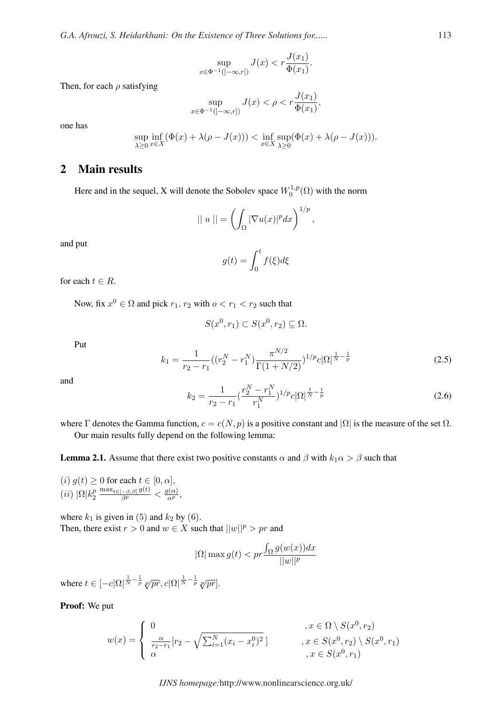$$
\sup_{x \in \Phi^{-1}(]-\infty, r])} J(x) < r \frac{J(x_1)}{\Phi(x_1)}.
$$

Then, for each  $\rho$  satisfying

$$
\sup_{x \in \Phi^{-1}([-\infty,r])} J(x) < \rho < r \frac{J(x_1)}{\Phi(x_1)},
$$

one has

$$
\sup_{\lambda \geq 0} \inf_{x \in X} (\Phi(x) + \lambda(\rho - J(x))) < \inf_{x \in X} \sup_{\lambda \geq 0} (\Phi(x) + \lambda(\rho - J(x))).
$$

## 2 Main results

Here and in the sequel, X will denote the Sobolev space  $W_0^{1,p}$  $\binom{1}{0}$  with the norm

$$
|| u || = \left( \int_{\Omega} |\nabla u(x)|^p dx \right)^{1/p},
$$

and put

$$
g(t)=\int_0^t f(\xi)d\xi
$$

for each  $t \in R$ .

Now, fix  $x^0 \in \Omega$  and pick  $r_1, r_2$  with  $o < r_1 < r_2$  such that

$$
S(x^0, r_1) \subset S(x^0, r_2) \subseteq \Omega.
$$

Put

$$
k_1 = \frac{1}{r_2 - r_1} \left( \left( r_2^N - r_1^N \right) \frac{\pi^{N/2}}{\Gamma(1 + N/2)} \right)^{1/p} c |\Omega|^{\frac{1}{N} - \frac{1}{p}} \tag{2.5}
$$

and

$$
k_2 = \frac{1}{r_2 - r_1} \left(\frac{r_2^N - r_1^N}{r_1^N}\right)^{1/p} c |\Omega|^{\frac{1}{N} - \frac{1}{p}} \tag{2.6}
$$

where Γ denotes the Gamma function,  $c = c(N, p)$  is a positive constant and  $|\Omega|$  is the measure of the set  $\Omega$ . Our main results fully depend on the following lemma:

**Lemma 2.1.** Assume that there exist two positive constants  $\alpha$  and  $\beta$  with  $k_1 \alpha > \beta$  such that

(i)  $g(t) \geq 0$  for each  $t \in [0, \alpha]$ , (ii)  $|\Omega|k_2^p$ 2  $\frac{\max_{t\in[-\beta,\beta]} g(t)}{\beta^p}<\frac{g(\alpha)}{\alpha^p},$ 

where  $k_1$  is given in (5) and  $k_2$  by (6). Then, there exist  $r > 0$  and  $w \in X$  such that  $||w||^p > pr$  and

$$
|\Omega|\max g(t) < pr \frac{\int_{\Omega} g(w(x))dx}{||w||^p}
$$

where  $t \in [-c]\Omega|^{\frac{1}{N}-\frac{1}{p}}$   $\sqrt[p]{pr}, c]\Omega|^{\frac{1}{N}-\frac{1}{p}}$   $\sqrt[p]{pr}$ .

Proof: We put

$$
w(x) = \begin{cases} 0 & , x \in \Omega \setminus S(x^0, r_2) \\ \frac{\alpha}{r_2 - r_1} [r_2 - \sqrt{\sum_{i=1}^N (x_i - x_i^0)^2}] & , x \in S(x^0, r_2) \setminus S(x^0, r_1) \\ \alpha & , x \in S(x^0, r_1) \end{cases}
$$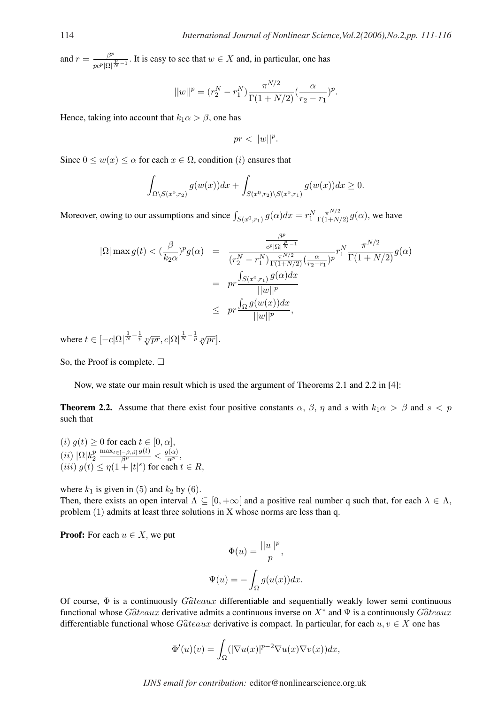and  $r = \frac{\beta^p}{\beta^p}$  $\frac{\beta^p}{p c^p |\Omega|^{\frac{p}{N}-1}}$ . It is easy to see that  $w \in X$  and, in particular, one has

$$
||w||^{p} = (r_2^N - r_1^N) \frac{\pi^{N/2}}{\Gamma(1 + N/2)} (\frac{\alpha}{r_2 - r_1})^{p}.
$$

Hence, taking into account that  $k_1 \alpha > \beta$ , one has

$$
pr < ||w||^p.
$$

Since  $0 \leq w(x) \leq \alpha$  for each  $x \in \Omega$ , condition (*i*) ensures that

$$
\int_{\Omega\setminus S(x^0,r_2)} g(w(x))dx + \int_{S(x^0,r_2)\setminus S(x^0,r_1)} g(w(x))dx \ge 0.
$$

Moreover, owing to our assumptions and since  $\int_{S(x^0,r_1)} g(\alpha)dx = r_1^N \frac{\pi^{N/2}}{\Gamma(1+N/2)} g(\alpha)$ , we have

$$
|\Omega| \max g(t) < (\frac{\beta}{k_2 \alpha})^p g(\alpha) = \frac{\frac{\beta^p}{c^p |\Omega|^{\frac{p}{N}-1}}}{(r_2^N - r_1^N) \frac{\pi^{N/2}}{\Gamma(1+N/2)} (\frac{\alpha}{r_2 - r_1})^p} r_1^N \frac{\pi^{N/2}}{\Gamma(1+N/2)} g(\alpha)
$$
  

$$
= pr \frac{\int_{S(x^0, r_1)} g(\alpha) dx}{||w||^p}
$$
  

$$
\leq pr \frac{\int_{\Omega} g(w(x)) dx}{||w||^p},
$$

where  $t \in [-c]\Omega|^{\frac{1}{N}-\frac{1}{p}}$   $\sqrt[p]{pr}, c|\Omega|^{\frac{1}{N}-\frac{1}{p}}$   $\sqrt[p]{pr}$ .

So, the Proof is complete.  $\Box$ 

Now, we state our main result which is used the argument of Theorems 2.1 and 2.2 in [4]:

**Theorem 2.2.** Assume that there exist four positive constants  $\alpha$ ,  $\beta$ ,  $\eta$  and s with  $k_1\alpha > \beta$  and  $s < p$ such that

(i)  $g(t) \geq 0$  for each  $t \in [0, \alpha]$ , (ii)  $|\Omega|k_2^p$ 2  $\frac{\max_{t\in[-\beta,\beta]} g(t)}{\beta^p}<\frac{g(\alpha)}{\alpha^p},$ (*iii*)  $g(t) \leq \eta(1+|t|^s)$  for each  $t \in R$ ,

where  $k_1$  is given in (5) and  $k_2$  by (6).

Then, there exists an open interval  $\Lambda \subseteq [0, +\infty]$  and a positive real number q such that, for each  $\lambda \in \Lambda$ , problem (1) admits at least three solutions in X whose norms are less than q.

**Proof:** For each  $u \in X$ , we put

$$
\Phi(u) = \frac{||u||^p}{p},
$$

$$
\Psi(u) = -\int_{\Omega} g(u(x))dx.
$$

Of course,  $\Phi$  is a continuously  $G\hat{a}teaux$  differentiable and sequentially weakly lower semi continuous functional whose  $G\hat{a}teaux$  derivative admits a continuous inverse on  $X^*$  and  $\Psi$  is a continuously  $G\hat{a}teaux$ differentiable functional whose  $G\hat{a}teaux$  derivative is compact. In particular, for each  $u, v \in X$  one has

$$
\Phi'(u)(v) = \int_{\Omega} (|\nabla u(x)|^{p-2} \nabla u(x) \nabla v(x)) dx,
$$

*IJNS email for contribution:* editor@nonlinearscience.org.uk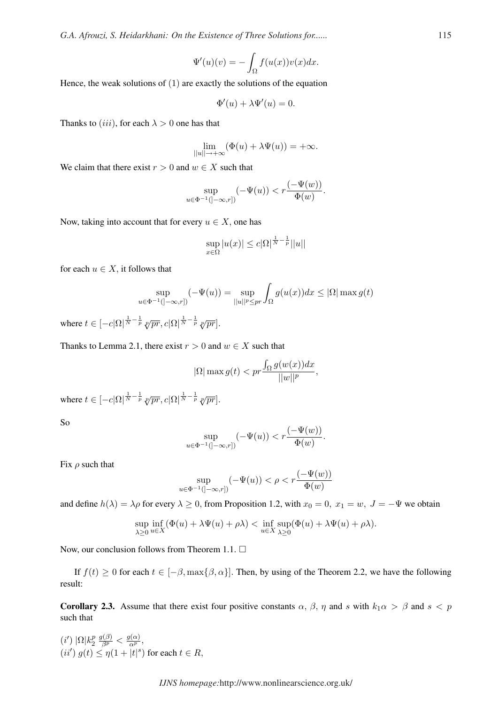*G.A. Afrouzi, S. Heidarkhani: On the Existence of Three Solutions for......* 115

$$
\Psi'(u)(v) = -\int_{\Omega} f(u(x))v(x)dx.
$$

Hence, the weak solutions of  $(1)$  are exactly the solutions of the equation

$$
\Phi'(u) + \lambda \Psi'(u) = 0.
$$

Thanks to (iii), for each  $\lambda > 0$  one has that

$$
\lim_{||u|| \to +\infty} (\Phi(u) + \lambda \Psi(u)) = +\infty.
$$

We claim that there exist  $r > 0$  and  $w \in X$  such that

$$
\sup_{u \in \Phi^{-1}(]-\infty, r])} (-\Psi(u)) < r \frac{(-\Psi(w))}{\Phi(w)}.
$$

Now, taking into account that for every  $u \in X$ , one has

$$
\sup_{x \in \Omega} |u(x)| \leq c |\Omega|^{\frac{1}{N} - \frac{1}{p}} ||u||
$$

for each  $u \in X$ , it follows that

$$
\sup_{u \in \Phi^{-1}(]-\infty, r]} (-\Psi(u)) = \sup_{||u||^p \leq pr} \int_{\Omega} g(u(x)) dx \leq |\Omega| \max g(t)
$$

where  $t \in [-c]\Omega|^{\frac{1}{N}-\frac{1}{p}}$   $\sqrt[p]{pr}, c|\Omega|^{\frac{1}{N}-\frac{1}{p}}$   $\sqrt[p]{pr}$ .

Thanks to Lemma 2.1, there exist  $r > 0$  and  $w \in X$  such that

$$
|\Omega|\max g(t) < pr \frac{\int_{\Omega} g(w(x))dx}{||w||^p},
$$

where  $t \in [-c]\Omega|^{\frac{1}{N}-\frac{1}{p}}$   $\sqrt[p]{pr}, c|\Omega|^{\frac{1}{N}-\frac{1}{p}}$   $\sqrt[p]{pr}$ .

So

$$
\sup_{u \in \Phi^{-1}(]-\infty, r])} (-\Psi(u)) < r \frac{(-\Psi(w))}{\Phi(w)}.
$$

Fix  $\rho$  such that

$$
\sup_{u \in \Phi^{-1}(]-\infty, r])} (-\Psi(u)) < \rho < r \frac{(-\Psi(w))}{\Phi(w)}
$$

and define  $h(\lambda) = \lambda \rho$  for every  $\lambda \ge 0$ , from Proposition 1.2, with  $x_0 = 0$ ,  $x_1 = w$ ,  $J = -\Psi$  we obtain

$$
\sup_{\lambda \geq 0} \inf_{u \in X} (\Phi(u) + \lambda \Psi(u) + \rho \lambda) < \inf_{u \in X} \sup_{\lambda \geq 0} (\Phi(u) + \lambda \Psi(u) + \rho \lambda).
$$

Now, our conclusion follows from Theorem 1.1.  $\Box$ 

If  $f(t) \ge 0$  for each  $t \in [-\beta, \max{\beta, \alpha}]$ . Then, by using of the Theorem 2.2, we have the following result:

**Corollary 2.3.** Assume that there exist four positive constants  $\alpha$ ,  $\beta$ ,  $\eta$  and s with  $k_1\alpha > \beta$  and  $s < p$ such that

 $(i') \vert \Omega \vert k_2^p$ 2  $\frac{g(\beta)}{\beta^p} < \frac{g(\alpha)}{\alpha^p},$  $(ii')$   $g(t) \leq \eta(1+|t|^s)$  for each  $t \in R$ ,